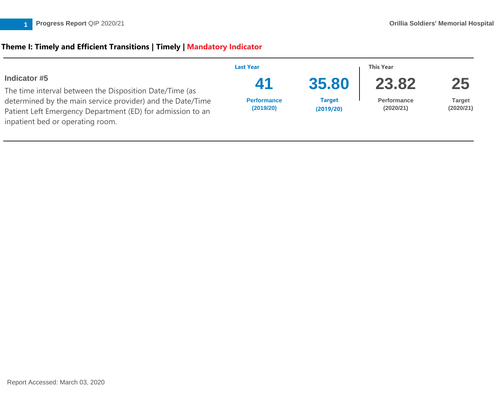

# **Theme I: Timely and Efficient Transitions | Timely | Mandatory Indicator**

|                                                                                                                                                              | <b>Last Year</b>                |                            | This Year                       |                            |
|--------------------------------------------------------------------------------------------------------------------------------------------------------------|---------------------------------|----------------------------|---------------------------------|----------------------------|
| Indicator #5<br>The time interval between the Disposition Date/Time (as                                                                                      | 41                              | 35.80                      | 23.82                           | 25                         |
| determined by the main service provider) and the Date/Time<br>Patient Left Emergency Department (ED) for admission to an<br>inpatient bed or operating room. | <b>Performance</b><br>(2019/20) | <b>Target</b><br>(2019/20) | <b>Performance</b><br>(2020/21) | <b>Target</b><br>(2020/21) |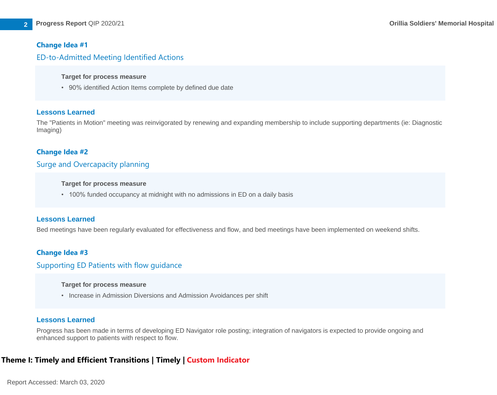# ED-to-Admitted Meeting Identified Actions

#### **Target for process measure**

• 90% identified Action Items complete by defined due date

### **Lessons Learned**

The "Patients in Motion" meeting was reinvigorated by renewing and expanding membership to include supporting departments (ie: Diagnostic Imaging)

## **Change Idea #2**

# Surge and Overcapacity planning

#### **Target for process measure**

• 100% funded occupancy at midnight with no admissions in ED on a daily basis

### **Lessons Learned**

Bed meetings have been regularly evaluated for effectiveness and flow, and bed meetings have been implemented on weekend shifts.

# **Change Idea #3**

# Supporting ED Patients with flow guidance

#### **Target for process measure**

• Increase in Admission Diversions and Admission Avoidances per shift

### **Lessons Learned**

Progress has been made in terms of developing ED Navigator role posting; integration of navigators is expected to provide ongoing and enhanced support to patients with respect to flow.

# **Theme I: Timely and Efficient Transitions | Timely | Custom Indicator**

Report Accessed: March 03, 2020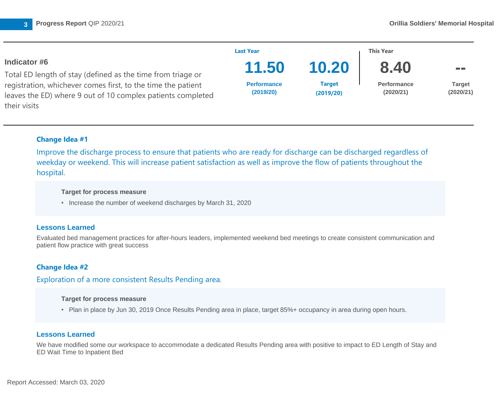|                                                              | <b>Last Year</b>                |                            | <b>This Year</b>                |                            |  |
|--------------------------------------------------------------|---------------------------------|----------------------------|---------------------------------|----------------------------|--|
| Indicator #6                                                 | 11.50                           | 10.20                      | 8.40                            | <b>The Contract State</b>  |  |
| Total ED length of stay (defined as the time from triage or  |                                 |                            |                                 |                            |  |
| registration, whichever comes first, to the time the patient | <b>Performance</b><br>(2019/20) | <b>Target</b><br>(2019/20) | <b>Performance</b><br>(2020/21) | <b>Target</b><br>(2020/21) |  |
| leaves the ED) where 9 out of 10 complex patients completed  |                                 |                            |                                 |                            |  |
| their visits                                                 |                                 |                            |                                 |                            |  |

Improve the discharge process to ensure that patients who are ready for discharge can be discharged regardless of weekday or weekend. This will increase patient satisfaction as well as improve the flow of patients throughout the hospital.

#### **Target for process measure**

• Increase the number of weekend discharges by March 31, 2020

### **Lessons Learned**

Evaluated bed management practices for after-hours leaders, implemented weekend bed meetings to create consistent communication and patient flow practice with great success

# **Change Idea #2**

Exploration of a more consistent Results Pending area.

#### **Target for process measure**

• Plan in place by Jun 30, 2019 Once Results Pending area in place, target 85%+ occupancy in area during open hours.

### **Lessons Learned**

We have modified some our workspace to accommodate a dedicated Results Pending area with positive to impact to ED Length of Stay and ED Wait Time to Inpatient Bed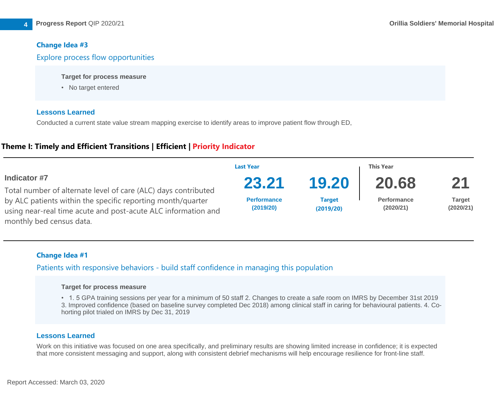# Explore process flow opportunities

#### **Target for process measure**

• No target entered

### **Lessons Learned**

Conducted a current state value stream mapping exercise to identify areas to improve patient flow through ED,

# **Theme I: Timely and Efficient Transitions | Efficient | Priority Indicator**

|                                                                                                                                                          | <b>Last Year</b>                |                     | <b>This Year</b>         |                            |
|----------------------------------------------------------------------------------------------------------------------------------------------------------|---------------------------------|---------------------|--------------------------|----------------------------|
| Indicator #7                                                                                                                                             | 23.21                           | 19.20               | 20.68                    | 21                         |
| Total number of alternate level of care (ALC) days contributed                                                                                           |                                 |                     |                          |                            |
| by ALC patients within the specific reporting month/quarter<br>using near-real time acute and post-acute ALC information and<br>monthly bed census data. | <b>Performance</b><br>(2019/20) | Target<br>(2019/20) | Performance<br>(2020/21) | <b>Target</b><br>(2020/21) |

### **Change Idea #1**

Patients with responsive behaviors - build staff confidence in managing this population

#### **Target for process measure**

• 1. 5 GPA training sessions per year for a minimum of 50 staff 2. Changes to create a safe room on IMRS by December 31st 2019 3. Improved confidence (based on baseline survey completed Dec 2018) among clinical staff in caring for behavioural patients. 4. Cohorting pilot trialed on IMRS by Dec 31, 2019

### **Lessons Learned**

Work on this initiative was focused on one area specifically, and preliminary results are showing limited increase in confidence; it is expected that more consistent messaging and support, along with consistent debrief mechanisms will help encourage resilience for front-line staff.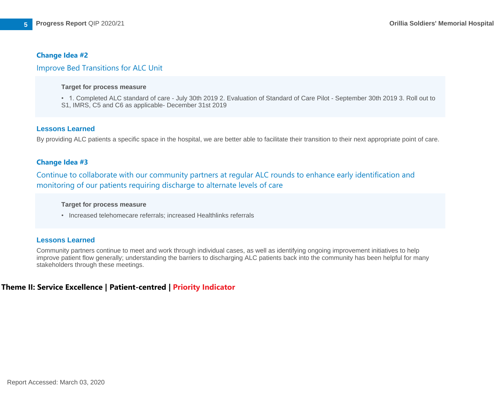## Improve Bed Transitions for ALC Unit

#### **Target for process measure**

• 1. Completed ALC standard of care - July 30th 2019 2. Evaluation of Standard of Care Pilot - September 30th 2019 3. Roll out to S1, IMRS, C5 and C6 as applicable- December 31st 2019

### **Lessons Learned**

By providing ALC patients a specific space in the hospital, we are better able to facilitate their transition to their next appropriate point of care.

### **Change Idea #3**

Continue to collaborate with our community partners at regular ALC rounds to enhance early identification and monitoring of our patients requiring discharge to alternate levels of care

#### **Target for process measure**

• Increased telehomecare referrals; increased Healthlinks referrals

### **Lessons Learned**

Community partners continue to meet and work through individual cases, as well as identifying ongoing improvement initiatives to help improve patient flow generally; understanding the barriers to discharging ALC patients back into the community has been helpful for many stakeholders through these meetings.

# **Theme II: Service Excellence | Patient-centred | Priority Indicator**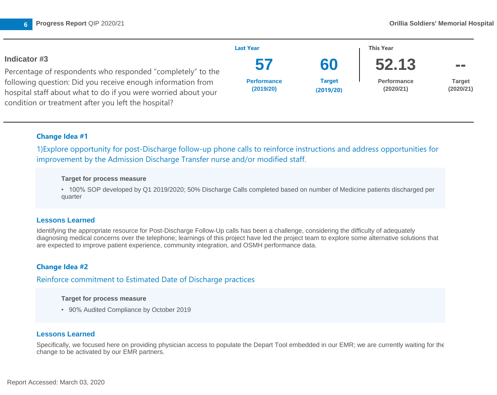

1)Explore opportunity for post-Discharge follow-up phone calls to reinforce instructions and address opportunities for improvement by the Admission Discharge Transfer nurse and/or modified staff.

#### **Target for process measure**

• 100% SOP developed by Q1 2019/2020; 50% Discharge Calls completed based on number of Medicine patients discharged per quarter

### **Lessons Learned**

Identifying the appropriate resource for Post-Discharge Follow-Up calls has been a challenge, considering the difficulty of adequately diagnosing medical concerns over the telephone; learnings of this project have led the project team to explore some alternative solutions that are expected to improve patient experience, community integration, and OSMH performance data.

# **Change Idea #2**

# Reinforce commitment to Estimated Date of Discharge practices

#### **Target for process measure**

• 90% Audited Compliance by October 2019

### **Lessons Learned**

Specifically, we focused here on providing physician access to populate the Depart Tool embedded in our EMR; we are currently waiting for the change to be activated by our EMR partners.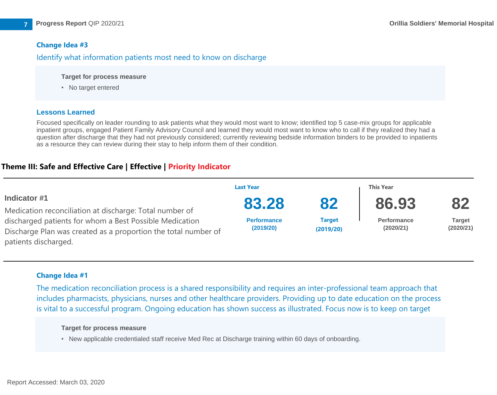# Identify what information patients most need to know on discharge

### **Target for process measure**

• No target entered

#### **Lessons Learned**

Focused specifically on leader rounding to ask patients what they would most want to know; identified top 5 case-mix groups for applicable inpatient groups, engaged Patient Family Advisory Council and learned they would most want to know who to call if they realized they had a question after discharge that they had not previously considered; currently reviewing bedside information binders to be provided to inpatients as a resource they can review during their stay to help inform them of their condition.

# **Theme III: Safe and Effective Care | Effective | Priority Indicator**

|                                                                | <b>Last Year</b>   |               | <b>This Year</b>   |               |
|----------------------------------------------------------------|--------------------|---------------|--------------------|---------------|
| Indicator #1                                                   | 83.28              | 82            | 86.93              | 82            |
| Medication reconciliation at discharge: Total number of        |                    |               |                    |               |
| discharged patients for whom a Best Possible Medication        | <b>Performance</b> | <b>Target</b> | <b>Performance</b> | <b>Target</b> |
| Discharge Plan was created as a proportion the total number of | (2019/20)          | (2019/20)     | (2020/21)          | (2020/21)     |
| patients discharged.                                           |                    |               |                    |               |

### **Change Idea #1**

The medication reconciliation process is a shared responsibility and requires an inter-professional team approach that includes pharmacists, physicians, nurses and other healthcare providers. Providing up to date education on the process is vital to a successful program. Ongoing education has shown success as illustrated. Focus now is to keep on target

#### **Target for process measure**

• New applicable credentialed staff receive Med Rec at Discharge training within 60 days of onboarding.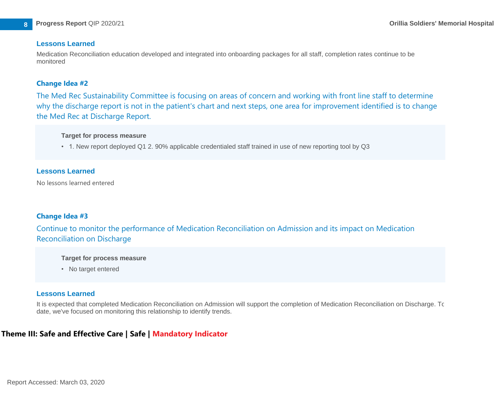# **Lessons Learned**

Medication Reconciliation education developed and integrated into onboarding packages for all staff, completion rates continue to be monitored

# **Change Idea #2**

The Med Rec Sustainability Committee is focusing on areas of concern and working with front line staff to determine why the discharge report is not in the patient's chart and next steps, one area for improvement identified is to change the Med Rec at Discharge Report.

# **Target for process measure**

• 1. New report deployed Q1 2. 90% applicable credentialed staff trained in use of new reporting tool by Q3

# **Lessons Learned**

No lessons learned entered

# **Change Idea #3**

Continue to monitor the performance of Medication Reconciliation on Admission and its impact on Medication Reconciliation on Discharge

# **Target for process measure**

• No target entered

# **Lessons Learned**

It is expected that completed Medication Reconciliation on Admission will support the completion of Medication Reconciliation on Discharge. To date, we've focused on monitoring this relationship to identify trends.

# **Theme III: Safe and Effective Care | Safe | Mandatory Indicator**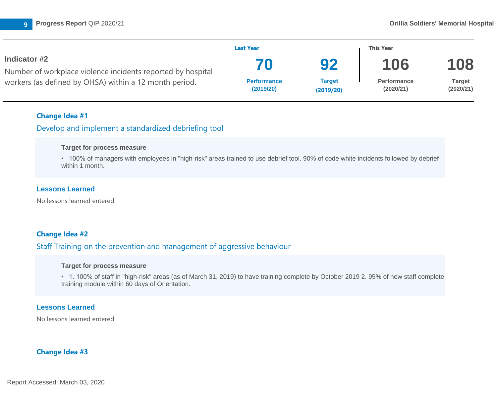

|                                                                             | <b>Last Year</b>                |                            | This Year                       |                            |
|-----------------------------------------------------------------------------|---------------------------------|----------------------------|---------------------------------|----------------------------|
| Indicator #2<br>Number of workplace violence incidents reported by hospital | 70                              | 92                         | 106                             | 108                        |
| workers (as defined by OHSA) within a 12 month period.                      | <b>Performance</b><br>(2019/20) | <b>Target</b><br>(2019/20) | <b>Performance</b><br>(2020/21) | <b>Target</b><br>(2020/21) |

# Develop and implement a standardized debriefing tool

#### **Target for process measure**

• 100% of managers with employees in "high-risk" areas trained to use debrief tool. 90% of code white incidents followed by debrief within 1 month

## **Lessons Learned**

No lessons learned entered

# **Change Idea #2**

# Staff Training on the prevention and management of aggressive behaviour

### **Target for process measure**

• 1. 100% of staff in "high-risk" areas (as of March 31, 2019) to have training complete by October 2019 2. 95% of new staff complete training module within 60 days of Orientation.

### **Lessons Learned**

No lessons learned entered

# **Change Idea #3**

Report Accessed: March 03, 2020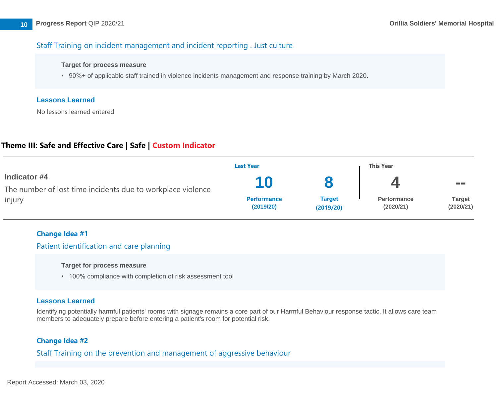# Staff Training on incident management and incident reporting . Just culture

#### **Target for process measure**

• 90%+ of applicable staff trained in violence incidents management and response training by March 2020.

### **Lessons Learned**

No lessons learned entered

# **Theme III: Safe and Effective Care | Safe | Custom Indicator**

|                                                             | <b>Last Year</b>                |                            | <b>This Year</b>                |                           |  |
|-------------------------------------------------------------|---------------------------------|----------------------------|---------------------------------|---------------------------|--|
| Indicator #4                                                |                                 |                            |                                 | <b>The Contract State</b> |  |
| The number of lost time incidents due to workplace violence |                                 |                            |                                 |                           |  |
| injury                                                      | <b>Performance</b><br>(2019/20) | <b>Target</b><br>(2019/20) | <b>Performance</b><br>(2020/21) | Target<br>(2020/21)       |  |

### **Change Idea #1**

# Patient identification and care planning

### **Target for process measure**

• 100% compliance with completion of risk assessment tool

### **Lessons Learned**

Identifying potentially harmful patients' rooms with signage remains a core part of our Harmful Behaviour response tactic. It allows care team members to adequately prepare before entering a patient's room for potential risk.

# **Change Idea #2**

Staff Training on the prevention and management of aggressive behaviour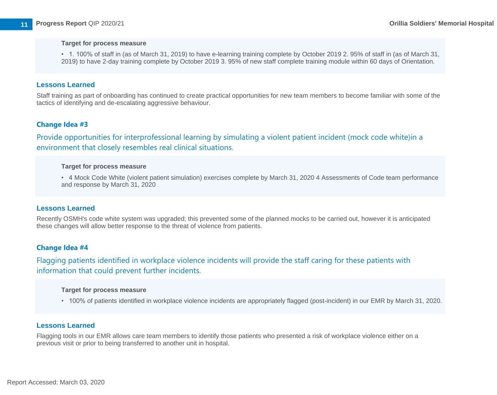#### **Target for process measure**

• 1. 100% of staff in (as of March 31, 2019) to have e-learning training complete by October 2019 2. 95% of staff in (as of March 31, 2019) to have 2-day training complete by October 2019 3. 95% of new staff complete training module within 60 days of Orientation.

#### **Lessons Learned**

Staff training as part of onboarding has continued to create practical opportunities for new team members to become familiar with some of the tactics of identifying and de-escalating aggressive behaviour.

## **Change Idea #3**

Provide opportunities for interprofessional learning by simulating a violent patient incident (mock code white)in a environment that closely resembles real clinical situations.

#### **Target for process measure**

• 4 Mock Code White (violent patient simulation) exercises complete by March 31, 2020 4 Assessments of Code team performance and response by March 31, 2020

### **Lessons Learned**

Recently OSMH's code white system was upgraded; this prevented some of the planned mocks to be carried out, however it is anticipated these changes will allow better response to the threat of violence from patients.

### **Change Idea #4**

Flagging patients identified in workplace violence incidents will provide the staff caring for these patients with information that could prevent further incidents.

#### **Target for process measure**

• 100% of patients identified in workplace violence incidents are appropriately flagged (post-incident) in our EMR by March 31, 2020.

### **Lessons Learned**

Flagging tools in our EMR allows care team members to identify those patients who presented a risk of workplace violence either on a previous visit or prior to being transferred to another unit in hospital.